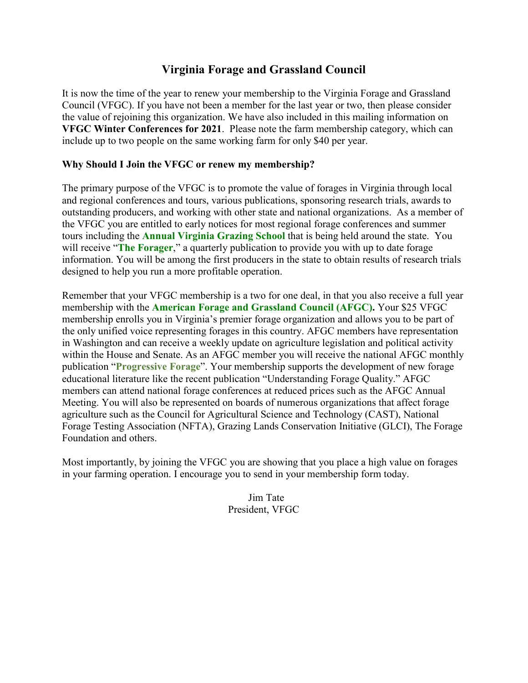## **Virginia Forage and Grassland Council**

It is now the time of the year to renew your membership to the Virginia Forage and Grassland Council (VFGC). If you have not been a member for the last year or two, then please consider the value of rejoining this organization. We have also included in this mailing information on **VFGC Winter Conferences for 2021**. Please note the farm membership category, which can include up to two people on the same working farm for only \$40 per year.

## **Why Should I Join the VFGC or renew my membership?**

The primary purpose of the VFGC is to promote the value of forages in Virginia through local and regional conferences and tours, various publications, sponsoring research trials, awards to outstanding producers, and working with other state and national organizations. As a member of the VFGC you are entitled to early notices for most regional forage conferences and summer tours including the **Annual Virginia Grazing School** that is being held around the state. You will receive "**The Forager**," a quarterly publication to provide you with up to date forage information. You will be among the first producers in the state to obtain results of research trials designed to help you run a more profitable operation.

Remember that your VFGC membership is a two for one deal, in that you also receive a full year membership with the **American Forage and Grassland Council (AFGC).** Your \$25 VFGC membership enrolls you in Virginia's premier forage organization and allows you to be part of the only unified voice representing forages in this country. AFGC members have representation in Washington and can receive a weekly update on agriculture legislation and political activity within the House and Senate. As an AFGC member you will receive the national AFGC monthly publication "**Progressive Forage**". Your membership supports the development of new forage educational literature like the recent publication "Understanding Forage Quality." AFGC members can attend national forage conferences at reduced prices such as the AFGC Annual Meeting. You will also be represented on boards of numerous organizations that affect forage agriculture such as the Council for Agricultural Science and Technology (CAST), National Forage Testing Association (NFTA), Grazing Lands Conservation Initiative (GLCI), The Forage Foundation and others.

Most importantly, by joining the VFGC you are showing that you place a high value on forages in your farming operation. I encourage you to send in your membership form today.

> Jim Tate President, VFGC